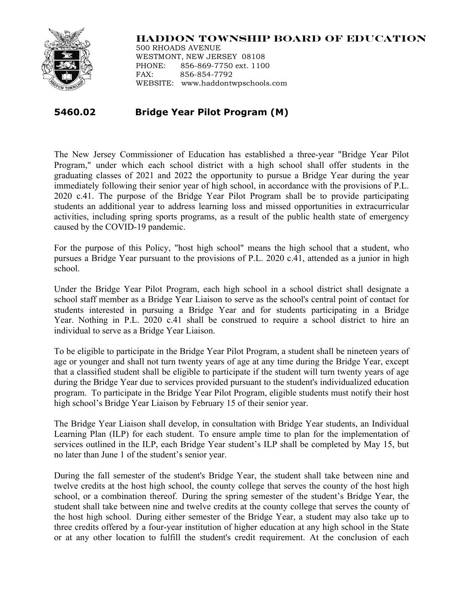

## **HADDON TOWNSHIP BOARD OF EDUCATION**

500 RHOADS AVENUE WESTMONT, NEW JERSEY 08108 PHONE: 856-869-7750 ext. 1100 FAX: 856-854-7792 WEBSITE: www.haddontwpschools.com

## **5460.02 Bridge Year Pilot Program (M)**

The New Jersey Commissioner of Education has established a three-year "Bridge Year Pilot Program," under which each school district with a high school shall offer students in the graduating classes of 2021 and 2022 the opportunity to pursue a Bridge Year during the year immediately following their senior year of high school, in accordance with the provisions of P.L. 2020 c.41. The purpose of the Bridge Year Pilot Program shall be to provide participating students an additional year to address learning loss and missed opportunities in extracurricular activities, including spring sports programs, as a result of the public health state of emergency caused by the COVID-19 pandemic.

For the purpose of this Policy, "host high school" means the high school that a student, who pursues a Bridge Year pursuant to the provisions of P.L. 2020 c.41, attended as a junior in high school.

Under the Bridge Year Pilot Program, each high school in a school district shall designate a school staff member as a Bridge Year Liaison to serve as the school's central point of contact for students interested in pursuing a Bridge Year and for students participating in a Bridge Year. Nothing in P.L. 2020 c.41 shall be construed to require a school district to hire an individual to serve as a Bridge Year Liaison.

To be eligible to participate in the Bridge Year Pilot Program, a student shall be nineteen years of age or younger and shall not turn twenty years of age at any time during the Bridge Year, except that a classified student shall be eligible to participate if the student will turn twenty years of age during the Bridge Year due to services provided pursuant to the student's individualized education program. To participate in the Bridge Year Pilot Program, eligible students must notify their host high school's Bridge Year Liaison by February 15 of their senior year.

The Bridge Year Liaison shall develop, in consultation with Bridge Year students, an Individual Learning Plan (ILP) for each student. To ensure ample time to plan for the implementation of services outlined in the ILP, each Bridge Year student's ILP shall be completed by May 15, but no later than June 1 of the student's senior year.

During the fall semester of the student's Bridge Year, the student shall take between nine and twelve credits at the host high school, the county college that serves the county of the host high school, or a combination thereof. During the spring semester of the student's Bridge Year, the student shall take between nine and twelve credits at the county college that serves the county of the host high school. During either semester of the Bridge Year, a student may also take up to three credits offered by a four-year institution of higher education at any high school in the State or at any other location to fulfill the student's credit requirement. At the conclusion of each